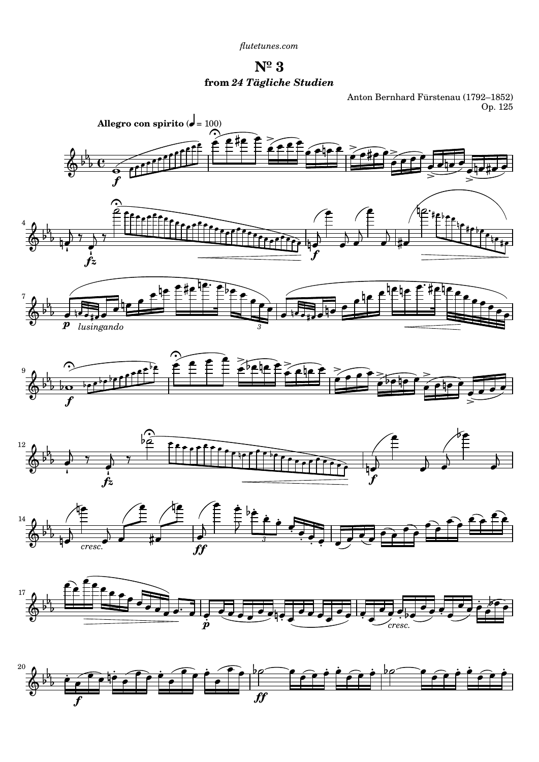*[flutetunes.com](http://www.flutetunes.com)*

**Nº 3 from** *24 Tägliche Studien*

Anton Bernhard Fürstenau (1792–1852) Op. 125